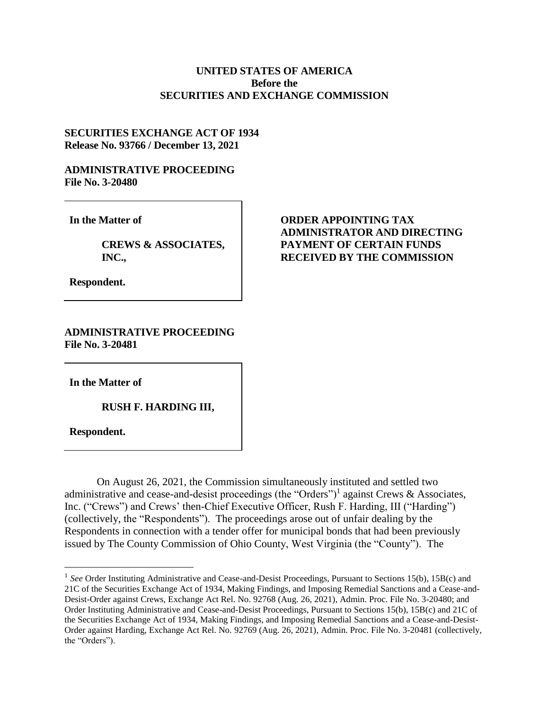## **UNITED STATES OF AMERICA Before the SECURITIES AND EXCHANGE COMMISSION**

## **SECURITIES EXCHANGE ACT OF 1934 Release No. 93766 / December 13, 2021**

## **ADMINISTRATIVE PROCEEDING File No. 3-20480**

**In the Matter of**

**CREWS & ASSOCIATES, INC.,**

**ORDER APPOINTING TAX ADMINISTRATOR AND DIRECTING PAYMENT OF CERTAIN FUNDS RECEIVED BY THE COMMISSION** 

**Respondent.**

## **ADMINISTRATIVE PROCEEDING File No. 3-20481**

**In the Matter of**

**RUSH F. HARDING III,** 

**Respondent.**

 $\overline{a}$ 

On August 26, 2021, the Commission simultaneously instituted and settled two administrative and cease-and-desist proceedings (the "Orders")<sup>1</sup> against Crews & Associates, Inc. ("Crews") and Crews' then-Chief Executive Officer, Rush F. Harding, III ("Harding") (collectively, the "Respondents"). The proceedings arose out of unfair dealing by the Respondents in connection with a tender offer for municipal bonds that had been previously issued by The County Commission of Ohio County, West Virginia (the "County"). The

<sup>&</sup>lt;sup>1</sup> See Order Instituting Administrative and Cease-and-Desist Proceedings, Pursuant to Sections 15(b), 15B(c) and 21C of the Securities Exchange Act of 1934, Making Findings, and Imposing Remedial Sanctions and a Cease-and-Desist-Order against Crews, Exchange Act Rel. No. 92768 (Aug. 26, 2021), Admin. Proc. File No. 3-20480; and Order Instituting Administrative and Cease-and-Desist Proceedings, Pursuant to Sections 15(b), 15B(c) and 21C of the Securities Exchange Act of 1934, Making Findings, and Imposing Remedial Sanctions and a Cease-and-Desist-Order against Harding, Exchange Act Rel. No. 92769 (Aug. 26, 2021), Admin. Proc. File No. 3-20481 (collectively, the "Orders").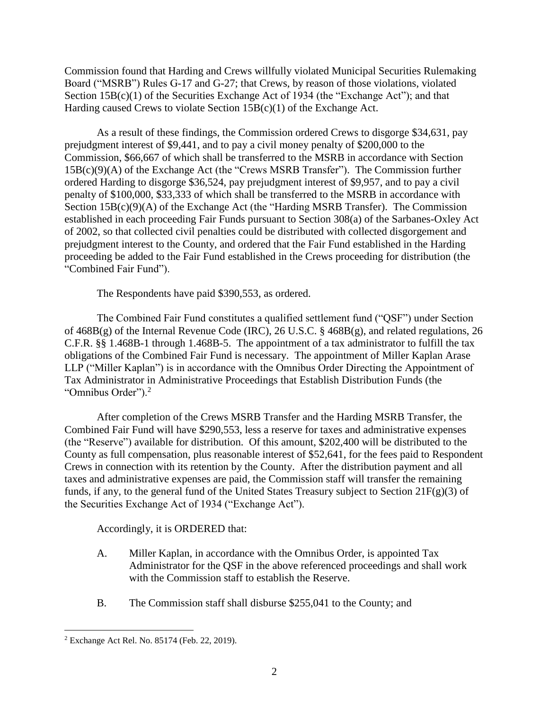Commission found that Harding and Crews willfully violated Municipal Securities Rulemaking Board ("MSRB") Rules G-17 and G-27; that Crews, by reason of those violations, violated Section  $15B(c)(1)$  of the Securities Exchange Act of 1934 (the "Exchange Act"); and that Harding caused Crews to violate Section 15B(c)(1) of the Exchange Act.

As a result of these findings, the Commission ordered Crews to disgorge \$34,631, pay prejudgment interest of \$9,441, and to pay a civil money penalty of \$200,000 to the Commission, \$66,667 of which shall be transferred to the MSRB in accordance with Section 15B(c)(9)(A) of the Exchange Act (the "Crews MSRB Transfer"). The Commission further ordered Harding to disgorge \$36,524, pay prejudgment interest of \$9,957, and to pay a civil penalty of \$100,000, \$33,333 of which shall be transferred to the MSRB in accordance with Section 15B(c)(9)(A) of the Exchange Act (the "Harding MSRB Transfer). The Commission established in each proceeding Fair Funds pursuant to Section 308(a) of the Sarbanes-Oxley Act of 2002, so that collected civil penalties could be distributed with collected disgorgement and prejudgment interest to the County, and ordered that the Fair Fund established in the Harding proceeding be added to the Fair Fund established in the Crews proceeding for distribution (the "Combined Fair Fund").

The Respondents have paid \$390,553, as ordered.

The Combined Fair Fund constitutes a qualified settlement fund ("QSF") under Section of 468B(g) of the Internal Revenue Code (IRC), 26 U.S.C. § 468B(g), and related regulations, 26 C.F.R. §§ 1.468B-1 through 1.468B-5. The appointment of a tax administrator to fulfill the tax obligations of the Combined Fair Fund is necessary. The appointment of Miller Kaplan Arase LLP ("Miller Kaplan") is in accordance with the Omnibus Order Directing the Appointment of Tax Administrator in Administrative Proceedings that Establish Distribution Funds (the "Omnibus Order").<sup>2</sup>

After completion of the Crews MSRB Transfer and the Harding MSRB Transfer, the Combined Fair Fund will have \$290,553, less a reserve for taxes and administrative expenses (the "Reserve") available for distribution. Of this amount, \$202,400 will be distributed to the County as full compensation, plus reasonable interest of \$52,641, for the fees paid to Respondent Crews in connection with its retention by the County. After the distribution payment and all taxes and administrative expenses are paid, the Commission staff will transfer the remaining funds, if any, to the general fund of the United States Treasury subject to Section  $21F(g)(3)$  of the Securities Exchange Act of 1934 ("Exchange Act").

Accordingly, it is ORDERED that:

- A. Miller Kaplan, in accordance with the Omnibus Order, is appointed Tax Administrator for the QSF in the above referenced proceedings and shall work with the Commission staff to establish the Reserve.
- B. The Commission staff shall disburse \$255,041 to the County; and

 $\overline{a}$ 

<sup>2</sup> Exchange Act Rel. No. 85174 (Feb. 22, 2019).